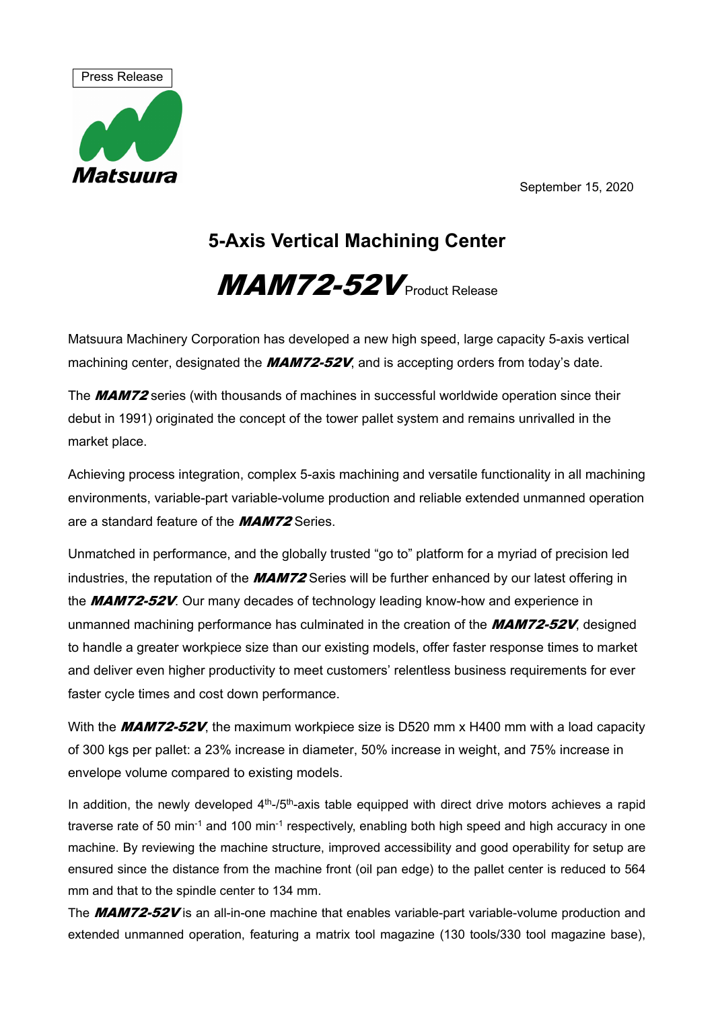September 15, 2020



## **5-Axis Vertical Machining Center**

## $MAM72-52V$  Product Release

Matsuura Machinery Corporation has developed a new high speed, large capacity 5-axis vertical machining center, designated the  $MAMZ-52V$ , and is accepting orders from today's date.

The **MAM72** series (with thousands of machines in successful worldwide operation since their debut in 1991) originated the concept of the tower pallet system and remains unrivalled in the market place.

Achieving process integration, complex 5-axis machining and versatile functionality in all machining environments, variable-part variable-volume production and reliable extended unmanned operation are a standard feature of the **MAM72** Series.

Unmatched in performance, and the globally trusted "go to" platform for a myriad of precision led industries, the reputation of the **MAM72** Series will be further enhanced by our latest offering in the **MAM72-52V**. Our many decades of technology leading know-how and experience in unmanned machining performance has culminated in the creation of the **MAM72-52V**, designed to handle a greater workpiece size than our existing models, offer faster response times to market and deliver even higher productivity to meet customers' relentless business requirements for ever faster cycle times and cost down performance.

With the **MAM72-52V**, the maximum workpiece size is D520 mm x H400 mm with a load capacity of 300 kgs per pallet: a 23% increase in diameter, 50% increase in weight, and 75% increase in envelope volume compared to existing models.

In addition, the newly developed  $4<sup>th</sup>$ -/5<sup>th</sup>-axis table equipped with direct drive motors achieves a rapid traverse rate of 50 min-1 and 100 min-1 respectively, enabling both high speed and high accuracy in one machine. By reviewing the machine structure, improved accessibility and good operability for setup are ensured since the distance from the machine front (oil pan edge) to the pallet center is reduced to 564 mm and that to the spindle center to 134 mm.

The MAM72-52V is an all-in-one machine that enables variable-part variable-volume production and extended unmanned operation, featuring a matrix tool magazine (130 tools/330 tool magazine base),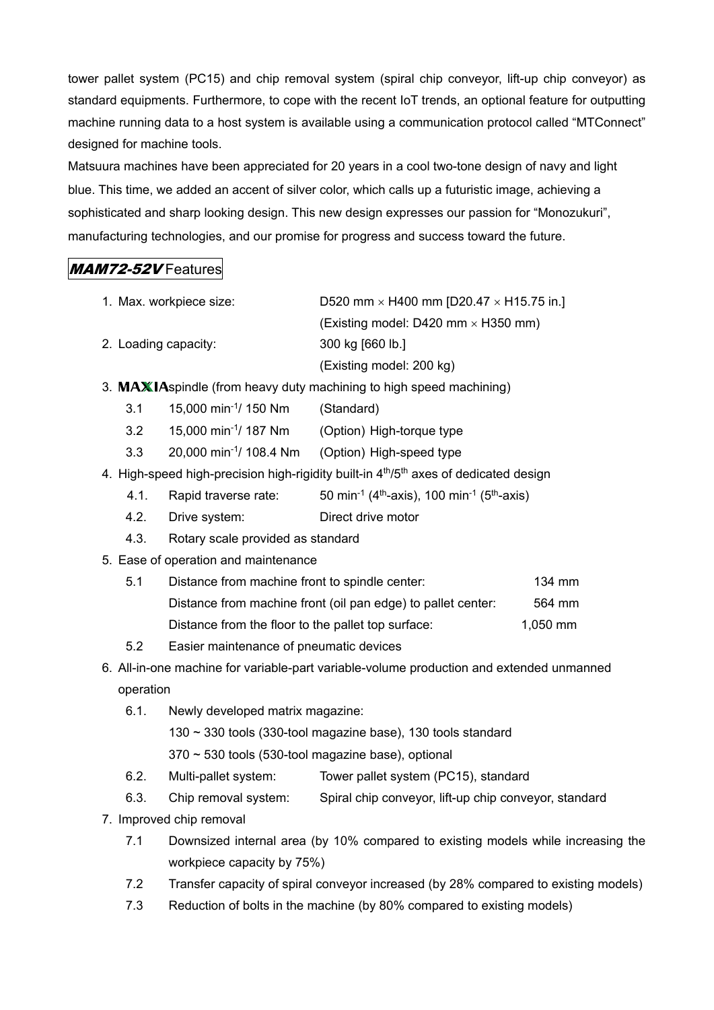tower pallet system (PC15) and chip removal system (spiral chip conveyor, lift-up chip conveyor) as standard equipments. Furthermore, to cope with the recent IoT trends, an optional feature for outputting machine running data to a host system is available using a communication protocol called "MTConnect" designed for machine tools.

Matsuura machines have been appreciated for 20 years in a cool two-tone design of navy and light blue. This time, we added an accent of silver color, which calls up a futuristic image, achieving a sophisticated and sharp looking design. This new design expresses our passion for "Monozukuri", manufacturing technologies, and our promise for progress and success toward the future.

## MAM72-52V Features

- 1. Max. workpiece size:  $D520$  mm  $\times$  H400 mm [D20.47  $\times$  H15.75 in.] (Existing model: D420 mm  $\times$  H350 mm) 2. Loading capacity: 300 kg [660 lb.] (Existing model: 200 kg)
- 3.  $MAXIAspinale (from heavy duty machine to high speed matching)$ 
	- 3.1 15,000 min-1/ 150 Nm (Standard)
	- 3.2 15,000 min-1/ 187 Nm (Option) High-torque type
	- 3.3 20,000 min-1/ 108.4 Nm (Option) High-speed type
- 4. High-speed high-precision high-rigidity built-in 4<sup>th</sup>/5<sup>th</sup> axes of dedicated design
	- 4.1. Rapid traverse rate:  $50 \text{ min}^{-1}$  (4<sup>th</sup>-axis), 100 min<sup>-1</sup> (5<sup>th</sup>-axis)
	- 4.2. Drive system: Direct drive motor
	- 4.3. Rotary scale provided as standard
- 5. Ease of operation and maintenance
	- 5.1 Distance from machine front to spindle center: 134 mm Distance from machine front (oil pan edge) to pallet center: 564 mm Distance from the floor to the pallet top surface: 1,050 mm
	- 5.2 Easier maintenance of pneumatic devices
- 6. All-in-one machine for variable-part variable-volume production and extended unmanned operation
	- 6.1. Newly developed matrix magazine:
		- 130 ~ 330 tools (330-tool magazine base), 130 tools standard
		- 370 ~ 530 tools (530-tool magazine base), optional
	- 6.2. Multi-pallet system: Tower pallet system (PC15), standard
	- 6.3. Chip removal system: Spiral chip conveyor, lift-up chip conveyor, standard
- 7. Improved chip removal
	- 7.1 Downsized internal area (by 10% compared to existing models while increasing the workpiece capacity by 75%)
	- 7.2 Transfer capacity of spiral conveyor increased (by 28% compared to existing models)
	- 7.3 Reduction of bolts in the machine (by 80% compared to existing models)